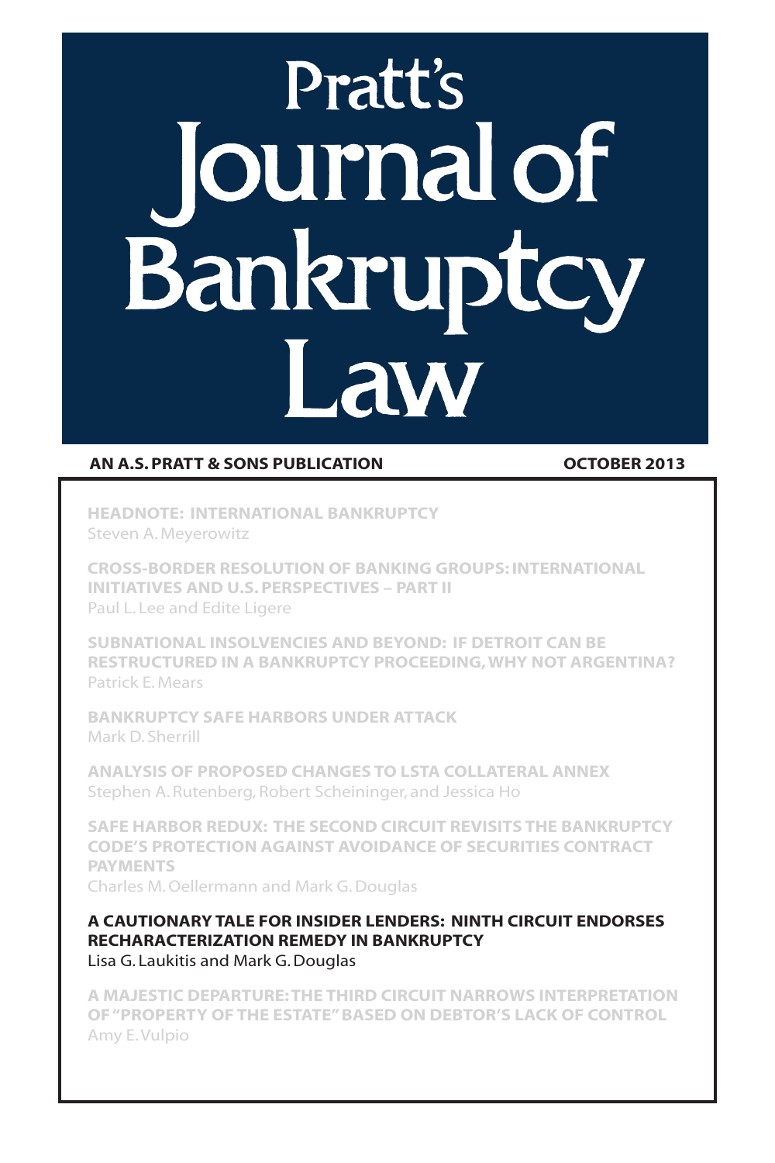# **Pratt's** Journal of Bankruptcy Law

# AN A.S. PRATT & SONS PUBLICATION CONTROLLER 2013

Headnote: International Bankruptcy Steven A. Meyerowitz

Cross-Border Resolution of Banking Groups: International Initiatives and U.S. Perspectives – Part II Paul L. Lee and Edite Ligere

Subnational Insolvencies and Beyond: If Detroit Can Be Restructured In A Bankruptcy Proceeding, Why Not Argentina? Patrick E. Mears

Bankruptcy Safe Harbors Under Attack Mark D. Sherrill

Analysis of Proposed Changes to LSTA Collateral Annex Stephen A. Rutenberg, Robert Scheininger, and Jessica Ho

Safe Harbor Redux: The Second Circuit Revisits the Bankruptcy Code's Protection Against Avoidance of Securities Contract **PAYMENTS** 

Charles M. Oellermann and Mark G. Douglas

A Cautionary Tale for Insider Lenders: Ninth Circuit Endorses Recharacterization Remedy in Bankruptcy Lisa G. Laukitis and Mark G. Douglas

A Majestic Departure: The Third Circuit Narrows Interpretation of "Property of The Estate" Based on Debtor's Lack of Control Amy E. Vulpio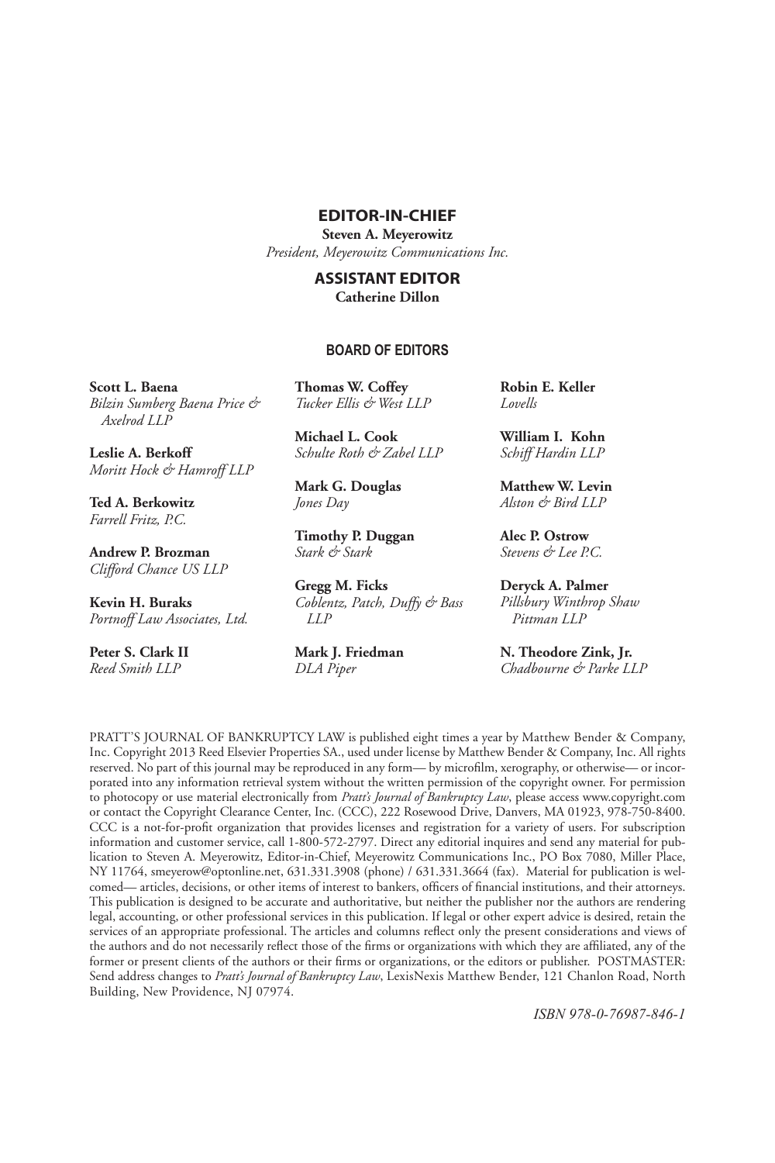### Editor-in-chief

**Steven A. Meyerowitz**

*President, Meyerowitz Communications Inc.*

#### Assistant Editor **Catherine Dillon**

#### **BOARD OF EDITORS**

**Scott L. Baena** *Bilzin Sumberg Baena Price & Axelrod LLP*

**Leslie A. Berkoff** *Moritt Hock & Hamroff LLP*

**Ted A. Berkowitz** *Farrell Fritz, P.C.* 

**Andrew P. Brozman** *Clifford Chance US LLP*

**Kevin H. Buraks** *Portnoff Law Associates, Ltd.*

**Peter S. Clark II**  *Reed Smith LLP*

**Thomas W. Coffey** *Tucker Ellis & West LLP*

**Michael L. Cook** *Schulte Roth & Zabel LLP* 

**Mark G. Douglas** *Jones Day*

**Timothy P. Duggan** *Stark & Stark*

**Gregg M. Ficks** *Coblentz, Patch, Duffy & Bass LLP*

**Mark J. Friedman** *DLA Piper*

**Robin E. Keller** *Lovells*

**William I. Kohn**  *Schiff Hardin LLP* 

**Matthew W. Levin** *Alston & Bird LLP*

**Alec P. Ostrow** *Stevens & Lee P.C.*

**Deryck A. Palmer** *Pillsbury Winthrop Shaw Pittman LLP* 

**N. Theodore Zink, Jr.** *Chadbourne & Parke LLP*

PRATT'S JOURNAL OF BANKRUPTCY LAW is published eight times a year by Matthew Bender & Company, Inc. Copyright 2013 Reed Elsevier Properties SA., used under license by Matthew Bender & Company, Inc. All rights reserved. No part of this journal may be reproduced in any form— by microfilm, xerography, or otherwise— or incorporated into any information retrieval system without the written permission of the copyright owner. For permission to photocopy or use material electronically from *Pratt's Journal of Bankruptcy Law*, please access www.copyright.com or contact the Copyright Clearance Center, Inc. (CCC), 222 Rosewood Drive, Danvers, MA 01923, 978-750-8400. CCC is a not-for-profit organization that provides licenses and registration for a variety of users. For subscription information and customer service, call 1-800-572-2797. Direct any editorial inquires and send any material for publication to Steven A. Meyerowitz, Editor-in-Chief, Meyerowitz Communications Inc., PO Box 7080, Miller Place, NY 11764, smeyerow@optonline.net, 631.331.3908 (phone) / 631.331.3664 (fax). Material for publication is welcomed— articles, decisions, or other items of interest to bankers, officers of financial institutions, and their attorneys. This publication is designed to be accurate and authoritative, but neither the publisher nor the authors are rendering legal, accounting, or other professional services in this publication. If legal or other expert advice is desired, retain the services of an appropriate professional. The articles and columns reflect only the present considerations and views of the authors and do not necessarily reflect those of the firms or organizations with which they are affiliated, any of the former or present clients of the authors or their firms or organizations, or the editors or publisher. POSTMASTER: Send address changes to *Pratt's Journal of Bankruptcy Law*, LexisNexis Matthew Bender, 121 Chanlon Road, North Building, New Providence, NJ 07974.

*ISBN 978-0-76987-846-1*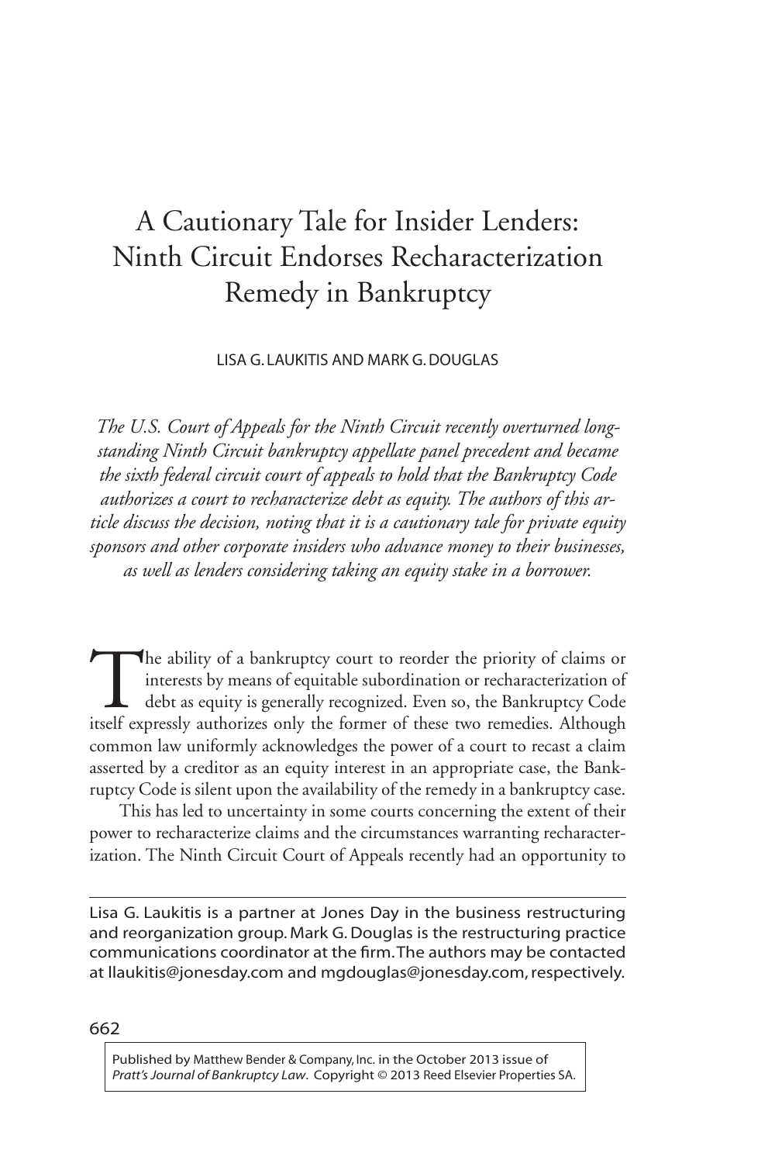# A Cautionary Tale for Insider Lenders: Ninth Circuit Endorses Recharacterization Remedy in Bankruptcy

Lisa G. Laukitis and Mark G. Douglas

*The U.S. Court of Appeals for the Ninth Circuit recently overturned longstanding Ninth Circuit bankruptcy appellate panel precedent and became the sixth federal circuit court of appeals to hold that the Bankruptcy Code authorizes a court to recharacterize debt as equity. The authors of this article discuss the decision, noting that it is a cautionary tale for private equity sponsors and other corporate insiders who advance money to their businesses, as well as lenders considering taking an equity stake in a borrower.*

The ability of a bankruptcy court to reorder the priority of claims or interests by means of equitable subordination or recharacterization of debt as equity is generally recognized. Even so, the Bankruptcy Code itself expr interests by means of equitable subordination or recharacterization of debt as equity is generally recognized. Even so, the Bankruptcy Code itself expressly authorizes only the former of these two remedies. Although common law uniformly acknowledges the power of a court to recast a claim asserted by a creditor as an equity interest in an appropriate case, the Bankruptcy Code is silent upon the availability of the remedy in a bankruptcy case.

 This has led to uncertainty in some courts concerning the extent of their power to recharacterize claims and the circumstances warranting recharacterization. The Ninth Circuit Court of Appeals recently had an opportunity to

Lisa G. Laukitis is a partner at Jones Day in the business restructuring and reorganization group. Mark G. Douglas is the restructuring practice communications coordinator at the firm. The authors may be contacted at llaukitis@jonesday.com and mgdouglas@jonesday.com, respectively.

662

Published by Matthew Bender & Company, Inc. in the October 2013 issue of *Pratt's Journal of Bankruptcy Law*. Copyright © 2013 Reed Elsevier Properties SA.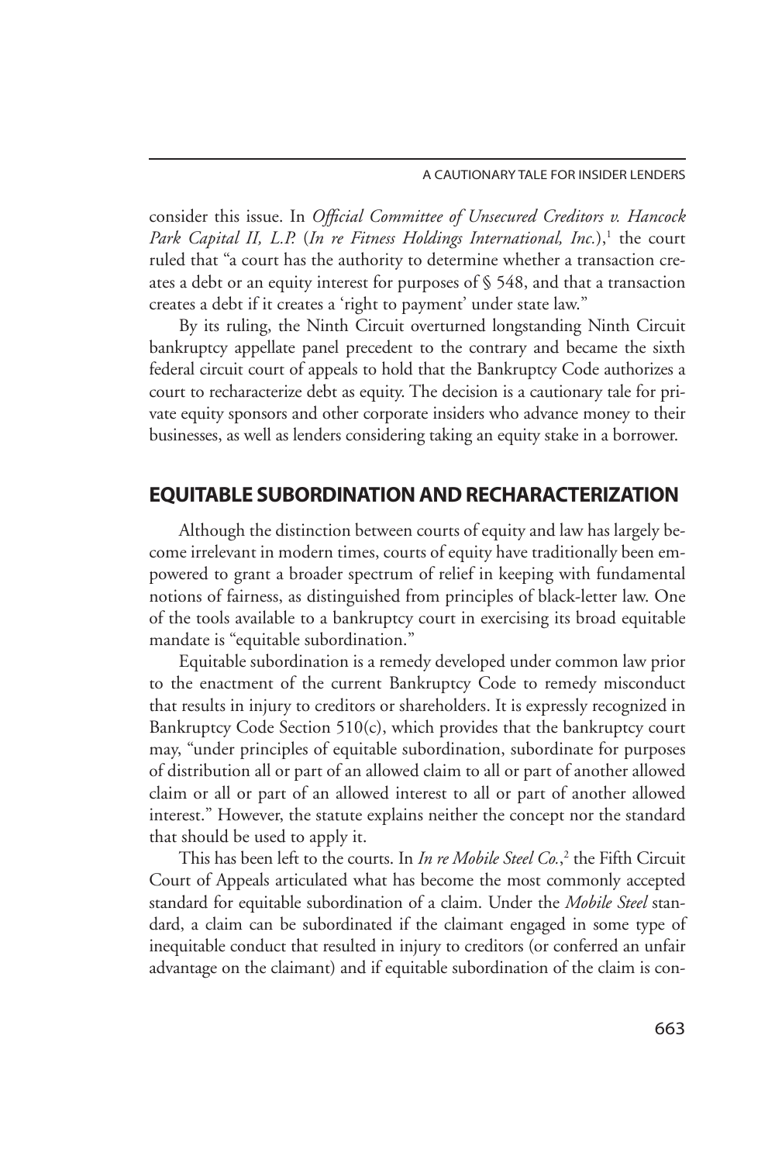consider this issue. In *Official Committee of Unsecured Creditors v. Hancock*  Park Capital II, L.P. (In re Fitness Holdings International, Inc.),<sup>1</sup> the court ruled that "a court has the authority to determine whether a transaction creates a debt or an equity interest for purposes of § 548, and that a transaction creates a debt if it creates a 'right to payment' under state law."

By its ruling, the Ninth Circuit overturned longstanding Ninth Circuit bankruptcy appellate panel precedent to the contrary and became the sixth federal circuit court of appeals to hold that the Bankruptcy Code authorizes a court to recharacterize debt as equity. The decision is a cautionary tale for private equity sponsors and other corporate insiders who advance money to their businesses, as well as lenders considering taking an equity stake in a borrower.

# Equitable Subordination and Recharacterization

 Although the distinction between courts of equity and law has largely become irrelevant in modern times, courts of equity have traditionally been empowered to grant a broader spectrum of relief in keeping with fundamental notions of fairness, as distinguished from principles of black-letter law. One of the tools available to a bankruptcy court in exercising its broad equitable mandate is "equitable subordination."

Equitable subordination is a remedy developed under common law prior to the enactment of the current Bankruptcy Code to remedy misconduct that results in injury to creditors or shareholders. It is expressly recognized in Bankruptcy Code Section 510(c), which provides that the bankruptcy court may, "under principles of equitable subordination, subordinate for purposes of distribution all or part of an allowed claim to all or part of another allowed claim or all or part of an allowed interest to all or part of another allowed interest." However, the statute explains neither the concept nor the standard that should be used to apply it.

This has been left to the courts. In *In re Mobile Steel Co.*,<sup>2</sup> the Fifth Circuit Court of Appeals articulated what has become the most commonly accepted standard for equitable subordination of a claim. Under the *Mobile Steel* standard, a claim can be subordinated if the claimant engaged in some type of inequitable conduct that resulted in injury to creditors (or conferred an unfair advantage on the claimant) and if equitable subordination of the claim is con-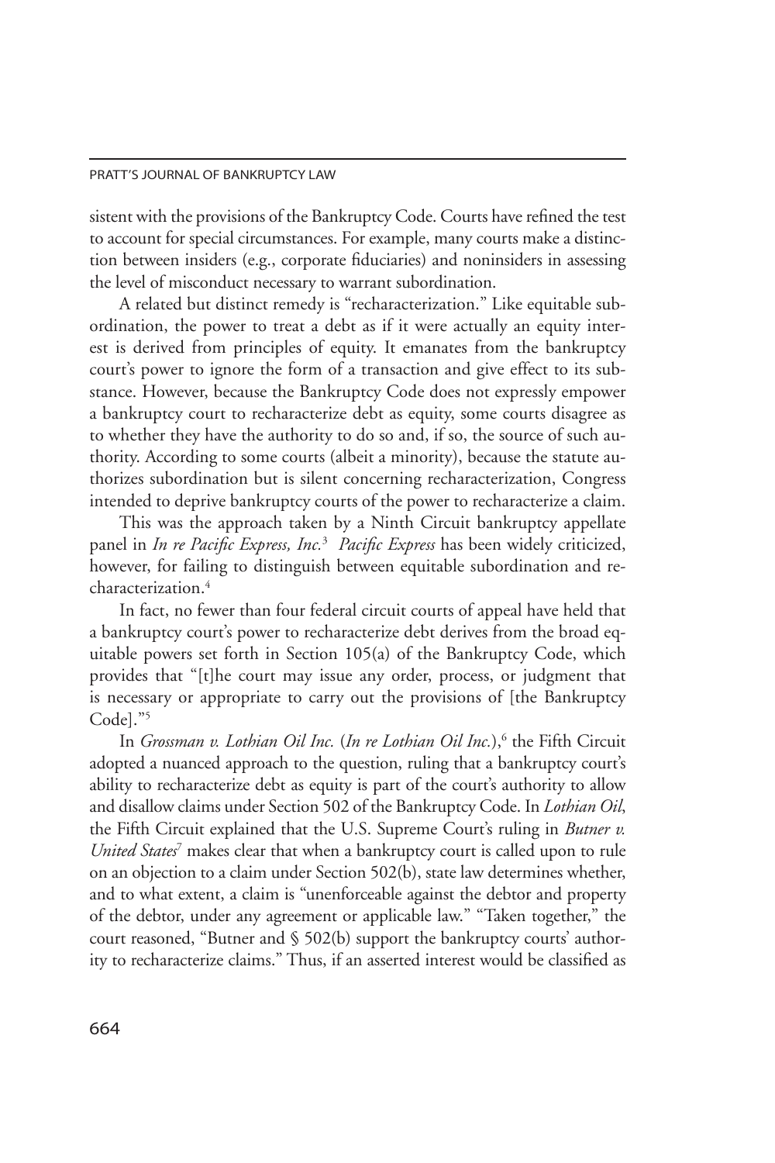#### PRATT'S JOURNAL OF BANKRUPTCY LAW

sistent with the provisions of the Bankruptcy Code. Courts have refined the test to account for special circumstances. For example, many courts make a distinction between insiders (e.g., corporate fiduciaries) and noninsiders in assessing the level of misconduct necessary to warrant subordination.

 A related but distinct remedy is "recharacterization." Like equitable subordination, the power to treat a debt as if it were actually an equity interest is derived from principles of equity. It emanates from the bankruptcy court's power to ignore the form of a transaction and give effect to its substance. However, because the Bankruptcy Code does not expressly empower a bankruptcy court to recharacterize debt as equity, some courts disagree as to whether they have the authority to do so and, if so, the source of such authority. According to some courts (albeit a minority), because the statute authorizes subordination but is silent concerning recharacterization, Congress intended to deprive bankruptcy courts of the power to recharacterize a claim.

 This was the approach taken by a Ninth Circuit bankruptcy appellate panel in *In re Pacific Express, Inc.*<sup>3</sup> *Pacific Express* has been widely criticized, however, for failing to distinguish between equitable subordination and recharacterization.<sup>4</sup>

In fact, no fewer than four federal circuit courts of appeal have held that a bankruptcy court's power to recharacterize debt derives from the broad equitable powers set forth in Section 105(a) of the Bankruptcy Code, which provides that "[t]he court may issue any order, process, or judgment that is necessary or appropriate to carry out the provisions of [the Bankruptcy Code]."5

In *Grossman v. Lothian Oil Inc.* (In re Lothian Oil Inc.),<sup>6</sup> the Fifth Circuit adopted a nuanced approach to the question, ruling that a bankruptcy court's ability to recharacterize debt as equity is part of the court's authority to allow and disallow claims under Section 502 of the Bankruptcy Code. In *Lothian Oil*, the Fifth Circuit explained that the U.S. Supreme Court's ruling in *Butner v. United States*<sup>7</sup> makes clear that when a bankruptcy court is called upon to rule on an objection to a claim under Section 502(b), state law determines whether, and to what extent, a claim is "unenforceable against the debtor and property of the debtor, under any agreement or applicable law." "Taken together," the court reasoned, "Butner and § 502(b) support the bankruptcy courts' authority to recharacterize claims." Thus, if an asserted interest would be classified as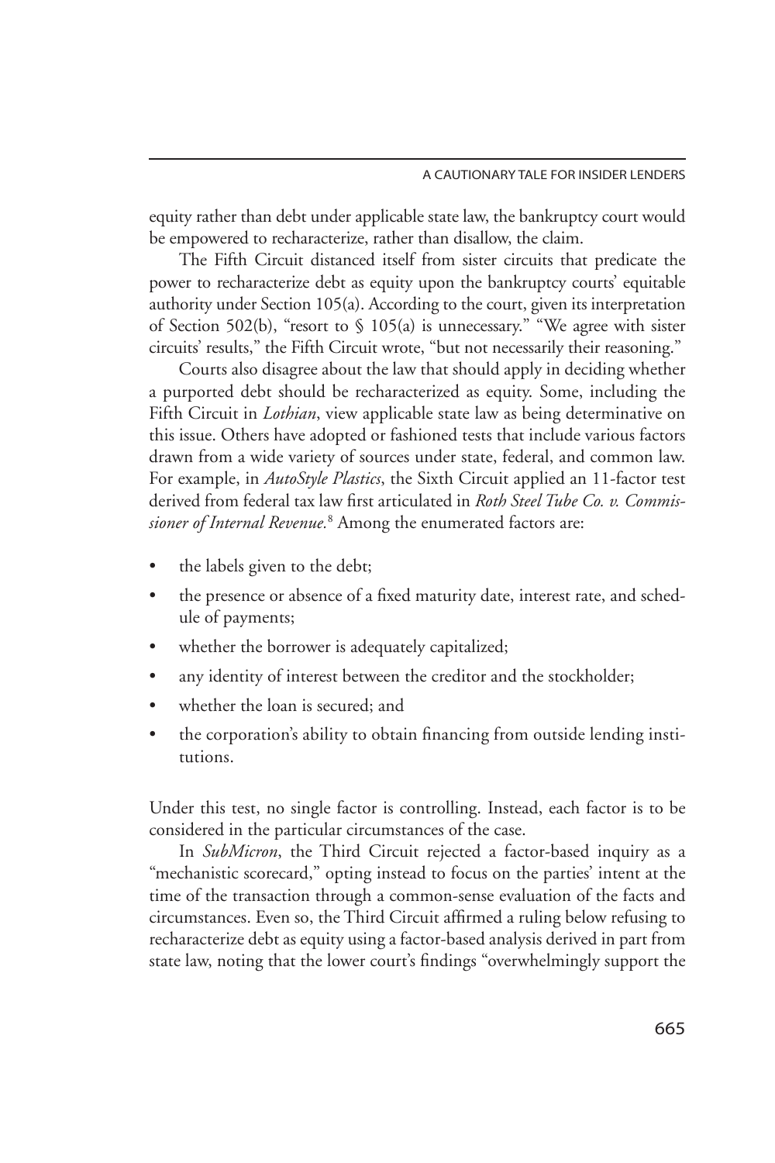equity rather than debt under applicable state law, the bankruptcy court would be empowered to recharacterize, rather than disallow, the claim.

 The Fifth Circuit distanced itself from sister circuits that predicate the power to recharacterize debt as equity upon the bankruptcy courts' equitable authority under Section 105(a). According to the court, given its interpretation of Section 502(b), "resort to § 105(a) is unnecessary." "We agree with sister circuits' results," the Fifth Circuit wrote, "but not necessarily their reasoning."

 Courts also disagree about the law that should apply in deciding whether a purported debt should be recharacterized as equity. Some, including the Fifth Circuit in *Lothian*, view applicable state law as being determinative on this issue. Others have adopted or fashioned tests that include various factors drawn from a wide variety of sources under state, federal, and common law. For example, in *AutoStyle Plastics*, the Sixth Circuit applied an 11-factor test derived from federal tax law first articulated in *Roth Steel Tube Co. v. Commissioner of Internal Revenue.*<sup>8</sup> Among the enumerated factors are:

- the labels given to the debt;
- the presence or absence of a fixed maturity date, interest rate, and schedule of payments;
- whether the borrower is adequately capitalized;
- any identity of interest between the creditor and the stockholder;
- whether the loan is secured; and
- the corporation's ability to obtain financing from outside lending institutions.

Under this test, no single factor is controlling. Instead, each factor is to be considered in the particular circumstances of the case.

In *SubMicron*, the Third Circuit rejected a factor-based inquiry as a "mechanistic scorecard," opting instead to focus on the parties' intent at the time of the transaction through a common-sense evaluation of the facts and circumstances. Even so, the Third Circuit affirmed a ruling below refusing to recharacterize debt as equity using a factor-based analysis derived in part from state law, noting that the lower court's findings "overwhelmingly support the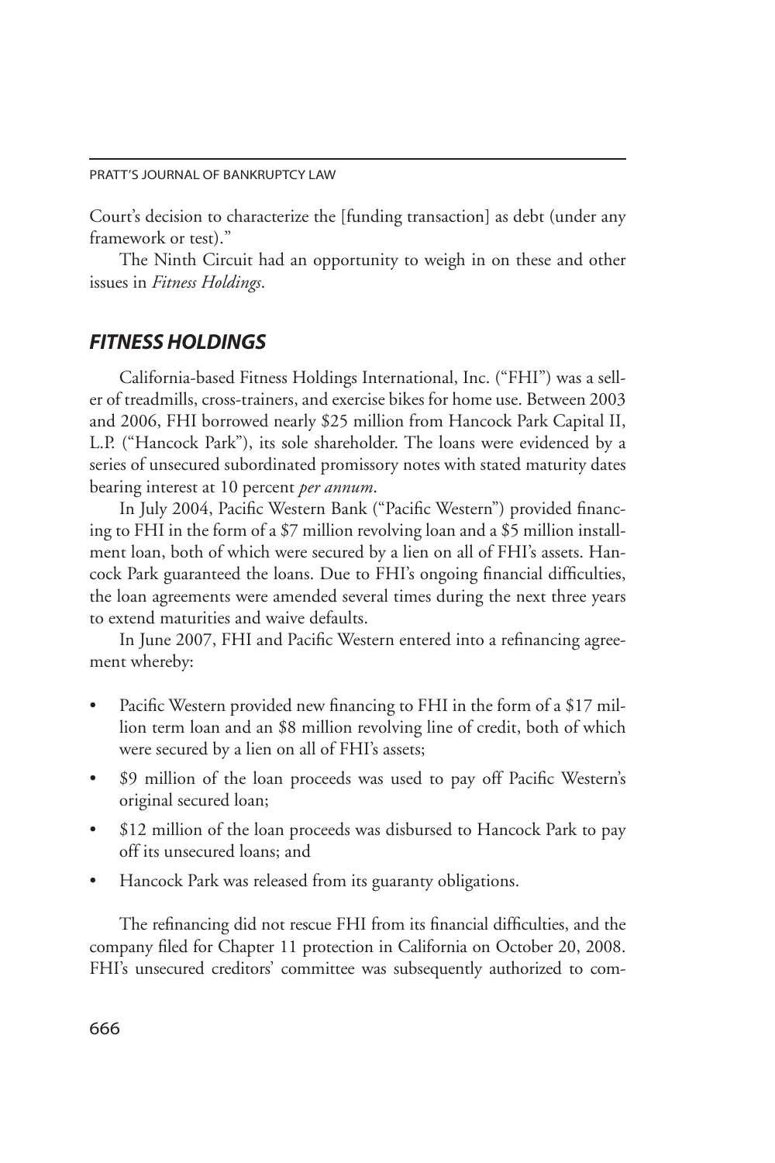Court's decision to characterize the [funding transaction] as debt (under any framework or test)."

 The Ninth Circuit had an opportunity to weigh in on these and other issues in *Fitness Holdings*.

# *Fitness Holdings*

 California-based Fitness Holdings International, Inc. ("FHI") was a seller of treadmills, cross-trainers, and exercise bikes for home use. Between 2003 and 2006, FHI borrowed nearly \$25 million from Hancock Park Capital II, L.P. ("Hancock Park"), its sole shareholder. The loans were evidenced by a series of unsecured subordinated promissory notes with stated maturity dates bearing interest at 10 percent *per annum*.

In July 2004, Pacific Western Bank ("Pacific Western") provided financing to FHI in the form of a \$7 million revolving loan and a \$5 million installment loan, both of which were secured by a lien on all of FHI's assets. Hancock Park guaranteed the loans. Due to FHI's ongoing financial difficulties, the loan agreements were amended several times during the next three years to extend maturities and waive defaults.

In June 2007, FHI and Pacific Western entered into a refinancing agreement whereby:

- Pacific Western provided new financing to FHI in the form of a \$17 million term loan and an \$8 million revolving line of credit, both of which were secured by a lien on all of FHI's assets;
- \$9 million of the loan proceeds was used to pay off Pacific Western's original secured loan;
- \$12 million of the loan proceeds was disbursed to Hancock Park to pay off its unsecured loans; and
- Hancock Park was released from its guaranty obligations.

 The refinancing did not rescue FHI from its financial difficulties, and the company filed for Chapter 11 protection in California on October 20, 2008. FHI's unsecured creditors' committee was subsequently authorized to com-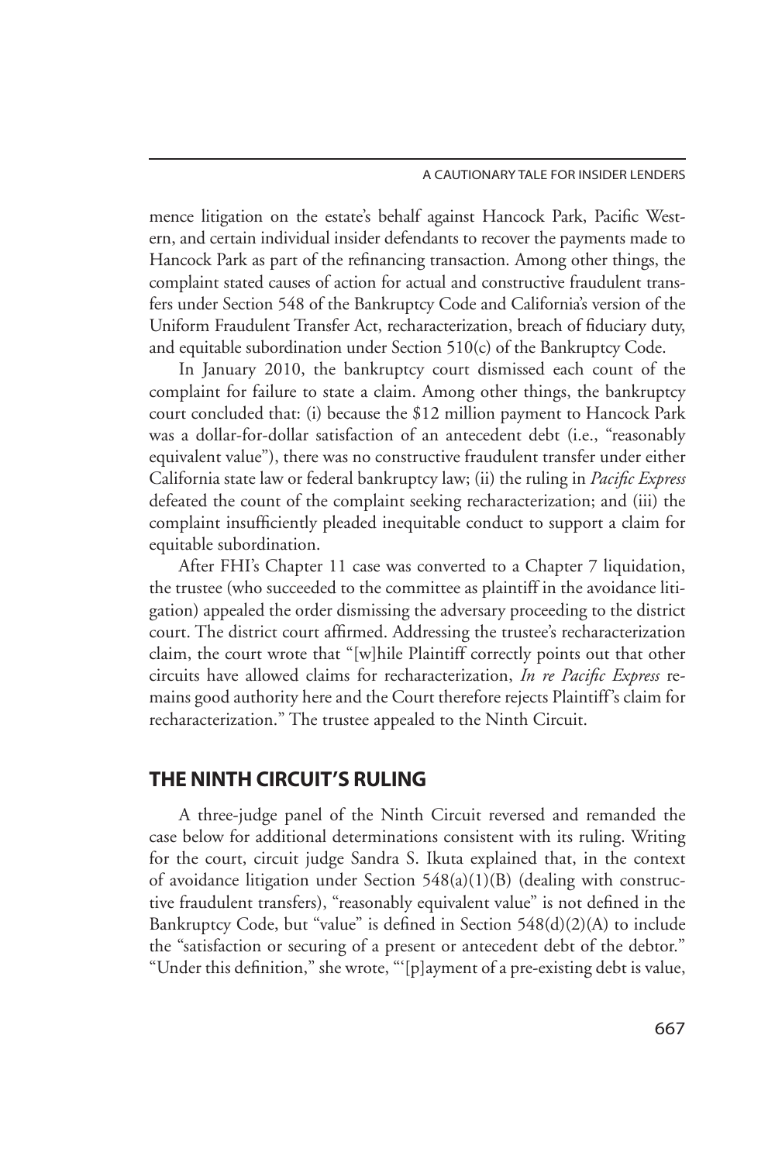#### A Cautionary Tale for Insider lenders

mence litigation on the estate's behalf against Hancock Park, Pacific Western, and certain individual insider defendants to recover the payments made to Hancock Park as part of the refinancing transaction. Among other things, the complaint stated causes of action for actual and constructive fraudulent transfers under Section 548 of the Bankruptcy Code and California's version of the Uniform Fraudulent Transfer Act, recharacterization, breach of fiduciary duty, and equitable subordination under Section 510(c) of the Bankruptcy Code.

In January 2010, the bankruptcy court dismissed each count of the complaint for failure to state a claim. Among other things, the bankruptcy court concluded that: (i) because the \$12 million payment to Hancock Park was a dollar-for-dollar satisfaction of an antecedent debt (i.e., "reasonably equivalent value"), there was no constructive fraudulent transfer under either California state law or federal bankruptcy law; (ii) the ruling in *Pacific Express* defeated the count of the complaint seeking recharacterization; and (iii) the complaint insufficiently pleaded inequitable conduct to support a claim for equitable subordination.

 After FHI's Chapter 11 case was converted to a Chapter 7 liquidation, the trustee (who succeeded to the committee as plaintiff in the avoidance litigation) appealed the order dismissing the adversary proceeding to the district court. The district court affirmed. Addressing the trustee's recharacterization claim, the court wrote that "[w]hile Plaintiff correctly points out that other circuits have allowed claims for recharacterization, *In re Pacific Express* remains good authority here and the Court therefore rejects Plaintiff's claim for recharacterization." The trustee appealed to the Ninth Circuit.

# The Ninth Circuit's Ruling

 A three-judge panel of the Ninth Circuit reversed and remanded the case below for additional determinations consistent with its ruling. Writing for the court, circuit judge Sandra S. Ikuta explained that, in the context of avoidance litigation under Section 548(a)(1)(B) (dealing with constructive fraudulent transfers), "reasonably equivalent value" is not defined in the Bankruptcy Code, but "value" is defined in Section 548(d)(2)(A) to include the "satisfaction or securing of a present or antecedent debt of the debtor." "Under this definition," she wrote, "'[p]ayment of a pre-existing debt is value,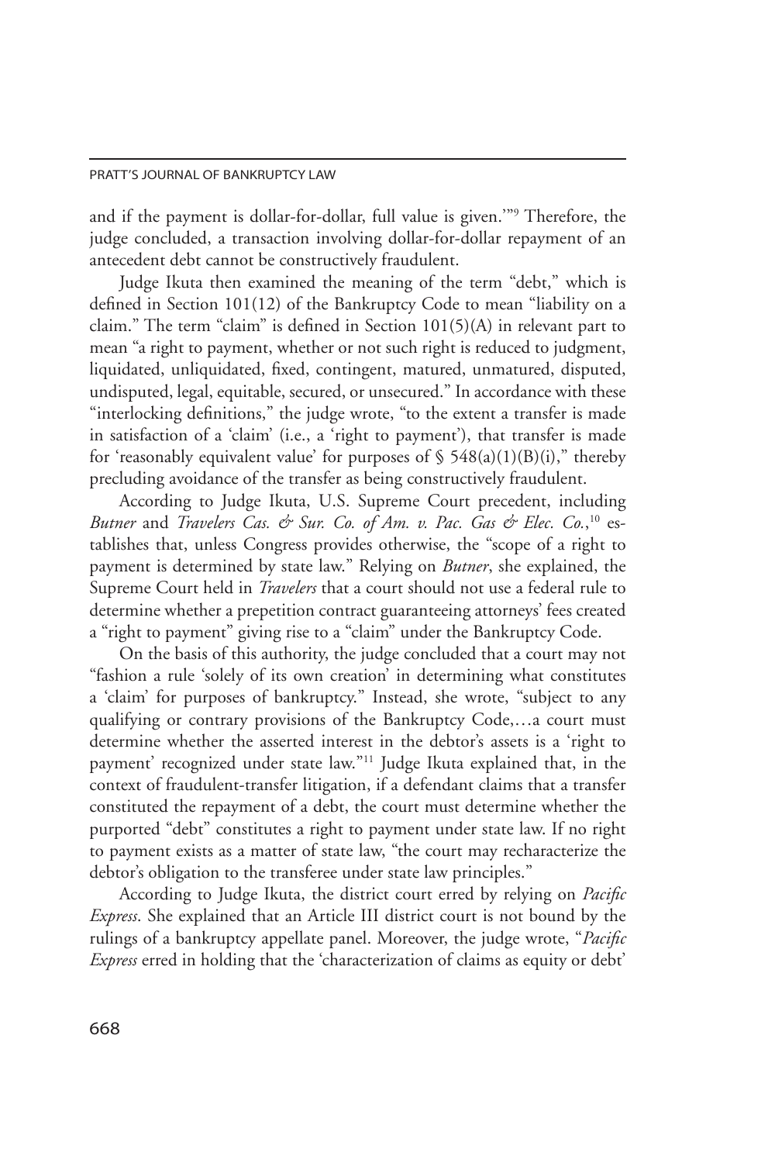#### PRATT'S JOURNAL OF BANKRUPTCY LAW

and if the payment is dollar-for-dollar, full value is given.'"9 Therefore, the judge concluded, a transaction involving dollar-for-dollar repayment of an antecedent debt cannot be constructively fraudulent.

Judge Ikuta then examined the meaning of the term "debt," which is defined in Section 101(12) of the Bankruptcy Code to mean "liability on a claim." The term "claim" is defined in Section 101(5)(A) in relevant part to mean "a right to payment, whether or not such right is reduced to judgment, liquidated, unliquidated, fixed, contingent, matured, unmatured, disputed, undisputed, legal, equitable, secured, or unsecured." In accordance with these "interlocking definitions," the judge wrote, "to the extent a transfer is made in satisfaction of a 'claim' (i.e., a 'right to payment'), that transfer is made for 'reasonably equivalent value' for purposes of  $\S$  548(a)(1)(B)(i)," thereby precluding avoidance of the transfer as being constructively fraudulent.

 According to Judge Ikuta, U.S. Supreme Court precedent, including *Butner* and *Travelers Cas. & Sur. Co. of Am. v. Pac. Gas & Elec. Co.*, 10 establishes that, unless Congress provides otherwise, the "scope of a right to payment is determined by state law." Relying on *Butner*, she explained, the Supreme Court held in *Travelers* that a court should not use a federal rule to determine whether a prepetition contract guaranteeing attorneys' fees created a "right to payment" giving rise to a "claim" under the Bankruptcy Code.

 On the basis of this authority, the judge concluded that a court may not "fashion a rule 'solely of its own creation' in determining what constitutes a 'claim' for purposes of bankruptcy." Instead, she wrote, "subject to any qualifying or contrary provisions of the Bankruptcy Code,…a court must determine whether the asserted interest in the debtor's assets is a 'right to payment' recognized under state law."11 Judge Ikuta explained that, in the context of fraudulent-transfer litigation, if a defendant claims that a transfer constituted the repayment of a debt, the court must determine whether the purported "debt" constitutes a right to payment under state law. If no right to payment exists as a matter of state law, "the court may recharacterize the debtor's obligation to the transferee under state law principles."

 According to Judge Ikuta, the district court erred by relying on *Pacific Express*. She explained that an Article III district court is not bound by the rulings of a bankruptcy appellate panel. Moreover, the judge wrote, "*Pacific Express* erred in holding that the 'characterization of claims as equity or debt'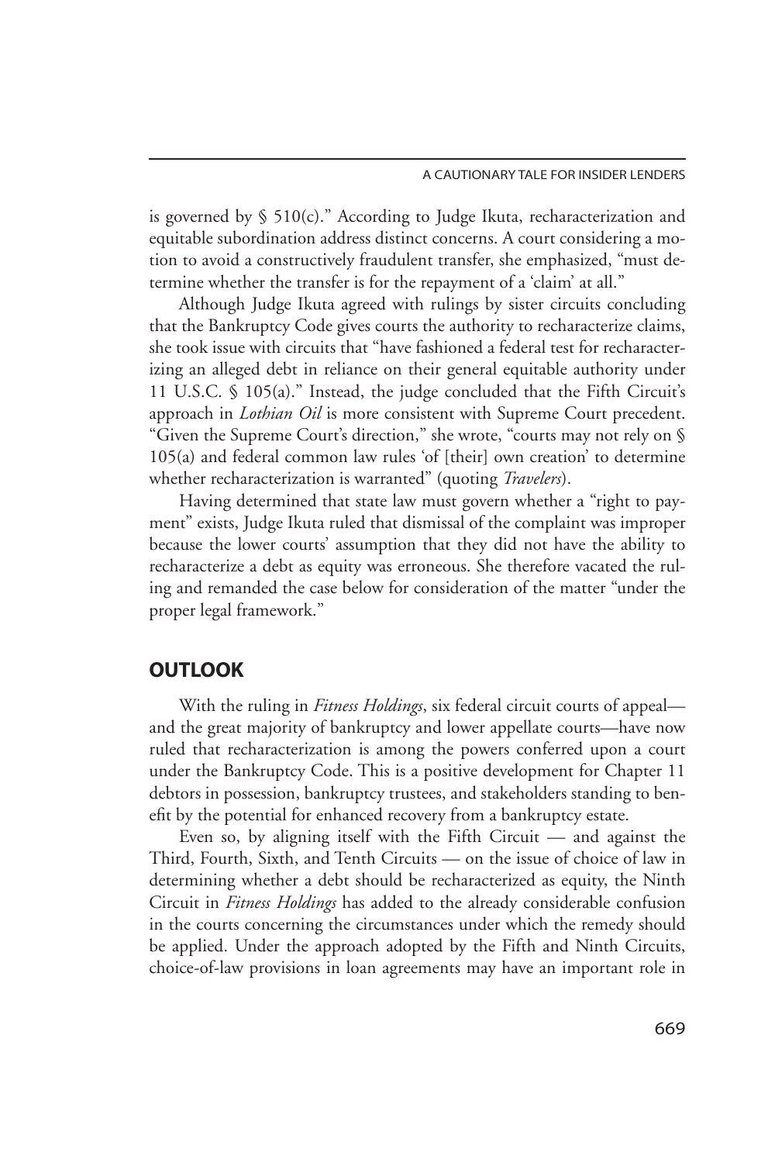is governed by § 510(c)." According to Judge Ikuta, recharacterization and equitable subordination address distinct concerns. A court considering a motion to avoid a constructively fraudulent transfer, she emphasized, "must determine whether the transfer is for the repayment of a 'claim' at all."

 Although Judge Ikuta agreed with rulings by sister circuits concluding that the Bankruptcy Code gives courts the authority to recharacterize claims, she took issue with circuits that "have fashioned a federal test for recharacterizing an alleged debt in reliance on their general equitable authority under 11 U.S.C. § 105(a)." Instead, the judge concluded that the Fifth Circuit's approach in *Lothian Oil* is more consistent with Supreme Court precedent. "Given the Supreme Court's direction," she wrote, "courts may not rely on § 105(a) and federal common law rules 'of [their] own creation' to determine whether recharacterization is warranted" (quoting *Travelers*).

Having determined that state law must govern whether a "right to payment" exists, Judge Ikuta ruled that dismissal of the complaint was improper because the lower courts' assumption that they did not have the ability to recharacterize a debt as equity was erroneous. She therefore vacated the ruling and remanded the case below for consideration of the matter "under the proper legal framework."

## **OUTLOOK**

 With the ruling in *Fitness Holdings*, six federal circuit courts of appeal and the great majority of bankruptcy and lower appellate courts—have now ruled that recharacterization is among the powers conferred upon a court under the Bankruptcy Code. This is a positive development for Chapter 11 debtors in possession, bankruptcy trustees, and stakeholders standing to benefit by the potential for enhanced recovery from a bankruptcy estate.

Even so, by aligning itself with the Fifth Circuit — and against the Third, Fourth, Sixth, and Tenth Circuits — on the issue of choice of law in determining whether a debt should be recharacterized as equity, the Ninth Circuit in *Fitness Holdings* has added to the already considerable confusion in the courts concerning the circumstances under which the remedy should be applied. Under the approach adopted by the Fifth and Ninth Circuits, choice-of-law provisions in loan agreements may have an important role in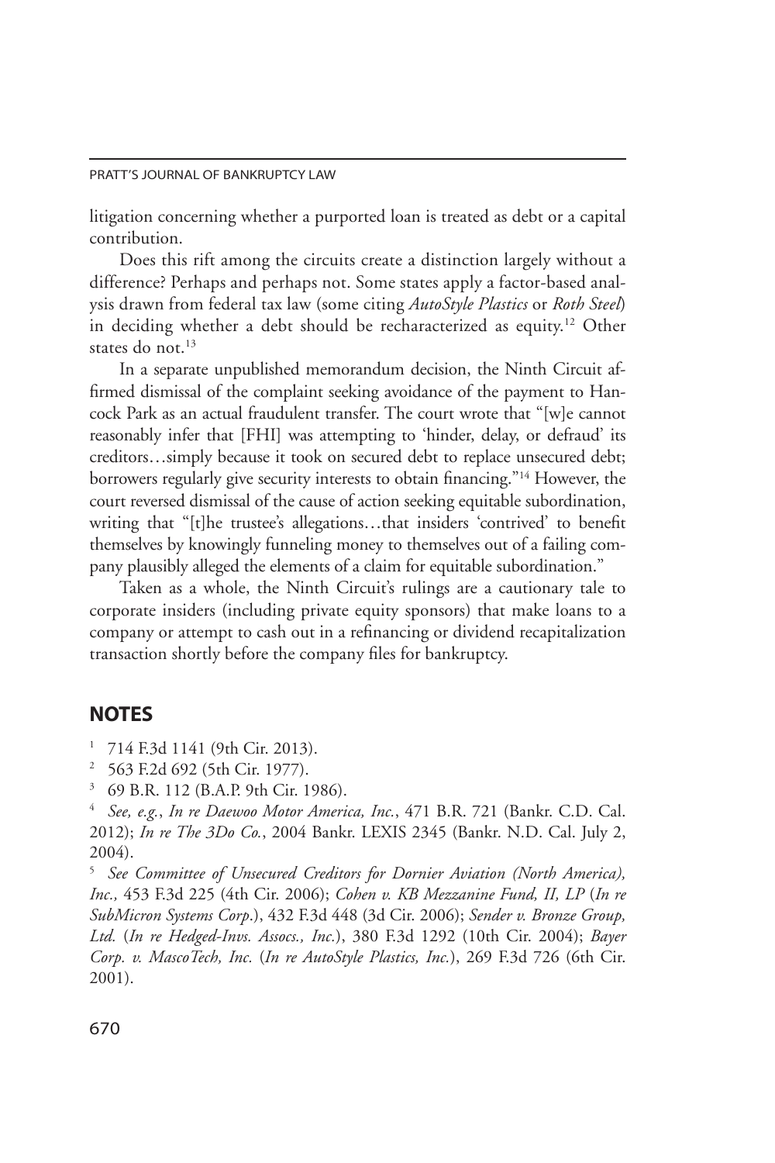#### PRATT'S JOURNAL OF BANKRUPTCY LAW

litigation concerning whether a purported loan is treated as debt or a capital contribution.

Does this rift among the circuits create a distinction largely without a difference? Perhaps and perhaps not. Some states apply a factor-based analysis drawn from federal tax law (some citing *AutoStyle Plastics* or *Roth Steel*) in deciding whether a debt should be recharacterized as equity.12 Other states do not.<sup>13</sup>

In a separate unpublished memorandum decision, the Ninth Circuit affirmed dismissal of the complaint seeking avoidance of the payment to Hancock Park as an actual fraudulent transfer. The court wrote that "[w]e cannot reasonably infer that [FHI] was attempting to 'hinder, delay, or defraud' its creditors…simply because it took on secured debt to replace unsecured debt; borrowers regularly give security interests to obtain financing."<sup>14</sup> However, the court reversed dismissal of the cause of action seeking equitable subordination, writing that "[t]he trustee's allegations…that insiders 'contrived' to benefit themselves by knowingly funneling money to themselves out of a failing company plausibly alleged the elements of a claim for equitable subordination."

 Taken as a whole, the Ninth Circuit's rulings are a cautionary tale to corporate insiders (including private equity sponsors) that make loans to a company or attempt to cash out in a refinancing or dividend recapitalization transaction shortly before the company files for bankruptcy.

# **NOTES**

- <sup>1</sup> 714 F.3d 1141 (9th Cir. 2013).
- <sup>2</sup> 563 F.2d 692 (5th Cir. 1977).
- <sup>3</sup> 69 B.R. 112 (B.A.P. 9th Cir. 1986).

<sup>4</sup> *See, e.g.*, *In re Daewoo Motor America, Inc.*, 471 B.R. 721 (Bankr. C.D. Cal. 2012); *In re The 3Do Co.*, 2004 Bankr. LEXIS 2345 (Bankr. N.D. Cal. July 2, 2004).

<sup>5</sup> *See Committee of Unsecured Creditors for Dornier Aviation (North America), Inc.,* 453 F.3d 225 (4th Cir. 2006); *Cohen v. KB Mezzanine Fund, II, LP* (*In re SubMicron Systems Corp*.), 432 F.3d 448 (3d Cir. 2006); *Sender v. Bronze Group, Ltd.* (*In re Hedged-Invs. Assocs., Inc.*), 380 F.3d 1292 (10th Cir. 2004); *Bayer Corp. v. MascoTech, Inc.* (*In re AutoStyle Plastics, Inc.*), 269 F.3d 726 (6th Cir. 2001).